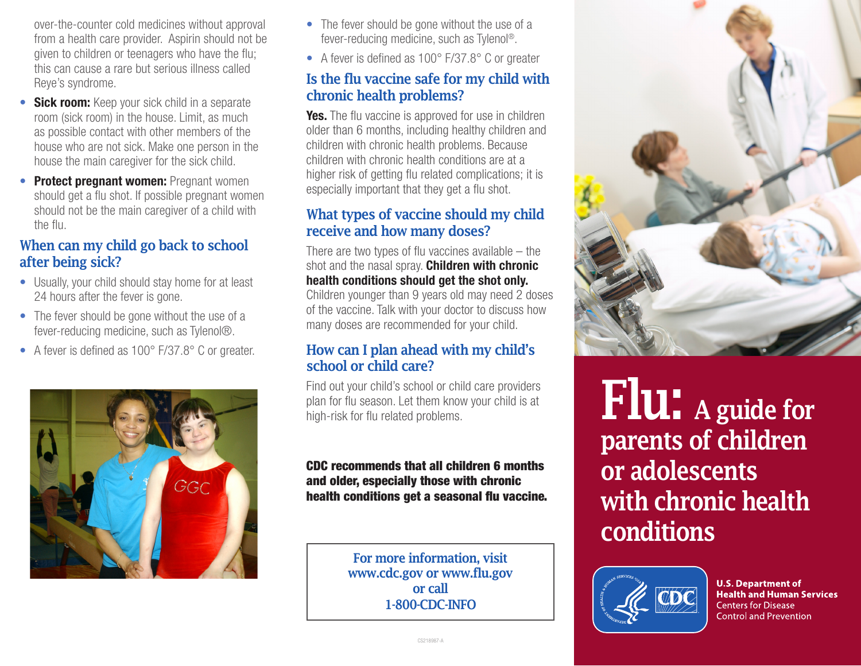over-the-counter cold medicines without approval from a health care provider. Aspirin should not be given to children or teenagers who have the flu; this can cause a rare but serious illness called Reye's syndrome.

- **Sick room:** Keep your sick child in a separate room (sick room) in the house. Limit, as much as possible contact with other members of the house who are not sick. Make one person in the house the main caregiver for the sick child.
- **Protect pregnant women: Pregnant women** should get a flu shot. If possible pregnant women should not be the main caregiver of a child with the flu.

## When can my child go back to school after being sick?

- Usually, your child should stay home for at least 24 hours after the fever is gone.
- The fever should be gone without the use of a fever-reducing medicine, such as Tylenol®.
- A fever is defined as 100° F/37.8° C or greater.



- The fever should be gone without the use of a fever-reducing medicine, such as Tylenol®.
- A fever is defined as 100° F/37.8° C or greater

## Is the flu vaccine safe for my child with chronic health problems?

Yes. The flu vaccine is approved for use in children older than 6 months, including healthy children and children with chronic health problems. Because children with chronic health conditions are at a higher risk of getting flu related complications; it is especially important that they get a flu shot.

## What types of vaccine should my child receive and how many doses?

There are two types of flu vaccines available – the shot and the nasal spray. **Children with chronic** health conditions should get the shot only. Children younger than 9 years old may need 2 doses of the vaccine. Talk with your doctor to discuss how many doses are recommended for your child.

## How can I plan ahead with my child's school or child care?

Find out your child's school or child care providers plan for flu season. Let them know your child is at high-risk for flu related problems.

CDC recommends that all children 6 months and older, especially those with chronic health conditions get a seasonal flu vaccine.

> For more information, visit www.cdc.gov or www.flu.gov or call 1-800-CDC-INFO



Flu: A guide for parents of children or adolescents with chronic health conditions



**U.S. Department of Health and Human Services Centers for Disease Control and Prevention**